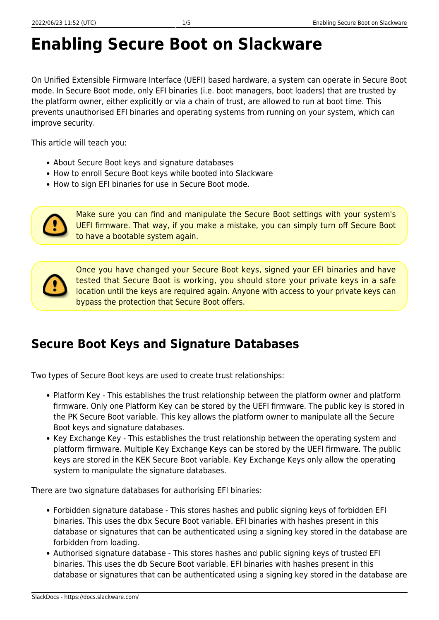### **Enabling Secure Boot on Slackware**

On Unified Extensible Firmware Interface (UEFI) based hardware, a system can operate in Secure Boot mode. In Secure Boot mode, only EFI binaries (i.e. boot managers, boot loaders) that are trusted by the platform owner, either explicitly or via a chain of trust, are allowed to run at boot time. This prevents unauthorised EFI binaries and operating systems from running on your system, which can improve security.

This article will teach you:

- About Secure Boot keys and signature databases
- How to enroll Secure Boot keys while booted into Slackware
- How to sign EFI binaries for use in Secure Boot mode.



Make sure you can find and manipulate the Secure Boot settings with your system's UEFI firmware. That way, if you make a mistake, you can simply turn off Secure Boot to have a bootable system again.



Once you have changed your Secure Boot keys, signed your EFI binaries and have tested that Secure Boot is working, you should store your private keys in a safe location until the keys are required again. Anyone with access to your private keys can bypass the protection that Secure Boot offers.

#### **Secure Boot Keys and Signature Databases**

Two types of Secure Boot keys are used to create trust relationships:

- Platform Key This establishes the trust relationship between the platform owner and platform firmware. Only one Platform Key can be stored by the UEFI firmware. The public key is stored in the PK Secure Boot variable. This key allows the platform owner to manipulate all the Secure Boot keys and signature databases.
- Key Exchange Key This establishes the trust relationship between the operating system and platform firmware. Multiple Key Exchange Keys can be stored by the UEFI firmware. The public keys are stored in the KEK Secure Boot variable. Key Exchange Keys only allow the operating system to manipulate the signature databases.

There are two signature databases for authorising EFI binaries:

- Forbidden signature database This stores hashes and public signing keys of forbidden EFI binaries. This uses the dbx Secure Boot variable. EFI binaries with hashes present in this database or signatures that can be authenticated using a signing key stored in the database are forbidden from loading.
- Authorised signature database This stores hashes and public signing keys of trusted EFI binaries. This uses the db Secure Boot variable. EFI binaries with hashes present in this database or signatures that can be authenticated using a signing key stored in the database are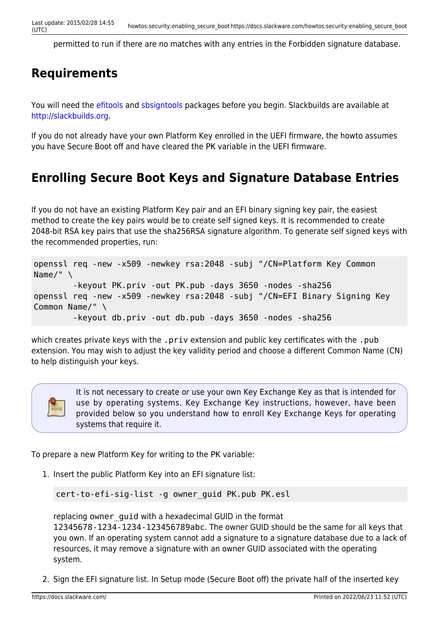permitted to run if there are no matches with any entries in the Forbidden signature database.

#### **Requirements**

You will need the [efitools](https://git.kernel.org/cgit/linux/kernel/git/jejb/efitools.git/) and [sbsigntools](https://git.kernel.org/cgit/linux/kernel/git/jejb/sbsigntools.git/) packages before you begin. Slackbuilds are available at <http://slackbuilds.org>.

If you do not already have your own Platform Key enrolled in the UEFI firmware, the howto assumes you have Secure Boot off and have cleared the PK variable in the UEFI firmware.

#### **Enrolling Secure Boot Keys and Signature Database Entries**

If you do not have an existing Platform Key pair and an EFI binary signing key pair, the easiest method to create the key pairs would be to create self signed keys. It is recommended to create 2048-bit RSA key pairs that use the sha256RSA signature algorithm. To generate self signed keys with the recommended properties, run:

```
openssl req -new -x509 -newkey rsa:2048 -subj "/CN=Platform Key Common
Name/" \
         -keyout PK.priv -out PK.pub -days 3650 -nodes -sha256
openssl req -new -x509 -newkey rsa:2048 -subj "/CN=EFI Binary Signing Key
Common Name/" \
         -keyout db.priv -out db.pub -days 3650 -nodes -sha256
```
which creates private keys with the .priv extension and public key certificates with the .pub extension. You may wish to adjust the key validity period and choose a different Common Name (CN) to help distinguish your keys.



It is not necessary to create or use your own Key Exchange Key as that is intended for use by operating systems. Key Exchange Key instructions, however, have been provided below so you understand how to enroll Key Exchange Keys for operating systems that require it.

To prepare a new Platform Key for writing to the PK variable:

1. Insert the public Platform Key into an EFI signature list:

```
cert-to-efi-sig-list -g owner_guid PK.pub PK.esl
```
replacing owner quid with a hexadecimal GUID in the format 12345678-1234-1234-123456789abc. The owner GUID should be the same for all keys that you own. If an operating system cannot add a signature to a signature database due to a lack of resources, it may remove a signature with an owner GUID associated with the operating system.

2. Sign the EFI signature list. In Setup mode (Secure Boot off) the private half of the inserted key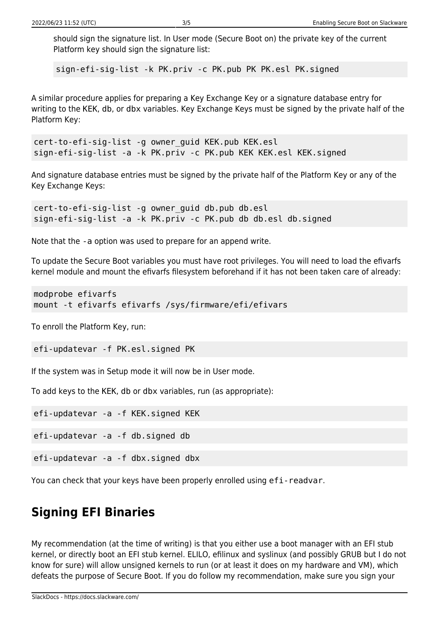should sign the signature list. In User mode (Secure Boot on) the private key of the current Platform key should sign the signature list:

sign-efi-sig-list -k PK.priv -c PK.pub PK PK.esl PK.signed

A similar procedure applies for preparing a Key Exchange Key or a signature database entry for writing to the KEK, db, or dbx variables. Key Exchange Keys must be signed by the private half of the Platform Key:

```
cert-to-efi-sig-list -g owner_guid KEK.pub KEK.esl
sign-efi-sig-list -a -k PK.priv -c PK.pub KEK KEK.esl KEK.signed
```
And signature database entries must be signed by the private half of the Platform Key or any of the Key Exchange Keys:

```
cert-to-efi-sig-list -g owner_guid db.pub db.esl
sign-efi-sig-list -a -k PK.priv -c PK.pub db db.esl db.signed
```
Note that the -a option was used to prepare for an append write.

To update the Secure Boot variables you must have root privileges. You will need to load the efivarfs kernel module and mount the efivarfs filesystem beforehand if it has not been taken care of already:

```
modprobe efivarfs
mount -t efivarfs efivarfs /sys/firmware/efi/efivars
```
To enroll the Platform Key, run:

efi-updatevar -f PK.esl.signed PK

If the system was in Setup mode it will now be in User mode.

To add keys to the KEK, db or dbx variables, run (as appropriate):

efi-updatevar -a -f KEK.signed KEK

efi-updatevar -a -f db.signed db

efi-updatevar -a -f dbx.signed dbx

You can check that your keys have been properly enrolled using efi-readvar.

### **Signing EFI Binaries**

My recommendation (at the time of writing) is that you either use a boot manager with an EFI stub kernel, or directly boot an EFI stub kernel. ELILO, efilinux and syslinux (and possibly GRUB but I do not know for sure) will allow unsigned kernels to run (or at least it does on my hardware and VM), which defeats the purpose of Secure Boot. If you do follow my recommendation, make sure you sign your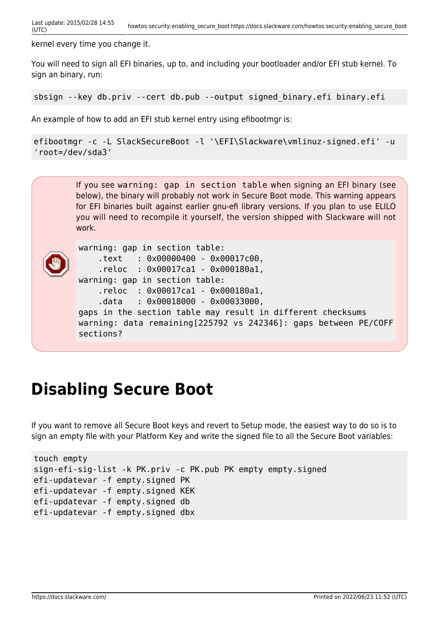kernel every time you change it.

You will need to sign all EFI binaries, up to, and including your bootloader and/or EFI stub kernel. To sign an binary, run:

sbsign --key db.priv --cert db.pub --output signed\_binary.efi binary.efi

An example of how to add an EFI stub kernel entry using efibootmgr is:

```
efibootmgr -c -L SlackSecureBoot -l '\EFI\Slackware\vmlinuz-signed.efi' -u
'root=/dev/sda3'
```
If you see warning: gap in section table when signing an EFI binary (see below), the binary will probably not work in Secure Boot mode. This warning appears for EFI binaries built against earlier gnu-efi library versions. If you plan to use ELILO you will need to recompile it yourself, the version shipped with Slackware will not work.



warning: gap in section table: .text : 0x00000400 - 0x00017c00, .reloc : 0x00017ca1 - 0x000180a1, warning: gap in section table: .reloc : 0x00017ca1 - 0x000180a1, .data : 0x00018000 - 0x00033000, gaps in the section table may result in different checksums warning: data remaining[225792 vs 242346]: gaps between PE/COFF sections?

### **Disabling Secure Boot**

If you want to remove all Secure Boot keys and revert to Setup mode, the easiest way to do so is to sign an empty file with your Platform Key and write the signed file to all the Secure Boot variables:

```
touch empty
sign-efi-sig-list -k PK.priv -c PK.pub PK empty empty.signed
efi-updatevar -f empty.signed PK
efi-updatevar -f empty.signed KEK
efi-updatevar -f empty.signed db
efi-updatevar -f empty.signed dbx
```